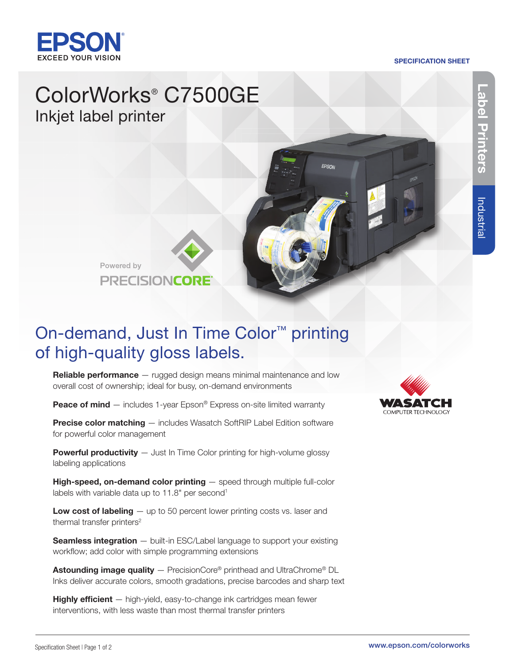

#### SPECIFICATION SHEET

# ColorWorks® C7500GE Inkjet label printer



## On-demand, Just In Time Color™ printing of high-quality gloss labels.

**Reliable performance** — rugged design means minimal maintenance and low overall cost of ownership; ideal for busy, on-demand environments

**Peace of mind**  $-$  includes 1-year Epson<sup>®</sup> Express on-site limited warranty

**Precise color matching** — includes Wasatch SoftRIP Label Edition software for powerful color management

**Powerful productivity**  $-$  Just In Time Color printing for high-volume glossy labeling applications

High-speed, on-demand color printing – speed through multiple full-color labels with variable data up to 11.8" per second<sup>1</sup>

Low cost of labeling  $-$  up to 50 percent lower printing costs vs. laser and thermal transfer printers<sup>2</sup>

Seamless integration - built-in ESC/Label language to support your existing workflow; add color with simple programming extensions

**Astounding image quality**  $-$  PrecisionCore<sup>®</sup> printhead and UltraChrome<sup>®</sup> DL Inks deliver accurate colors, smooth gradations, precise barcodes and sharp text

Highly efficient - high-yield, easy-to-change ink cartridges mean fewer interventions, with less waste than most thermal transfer printers